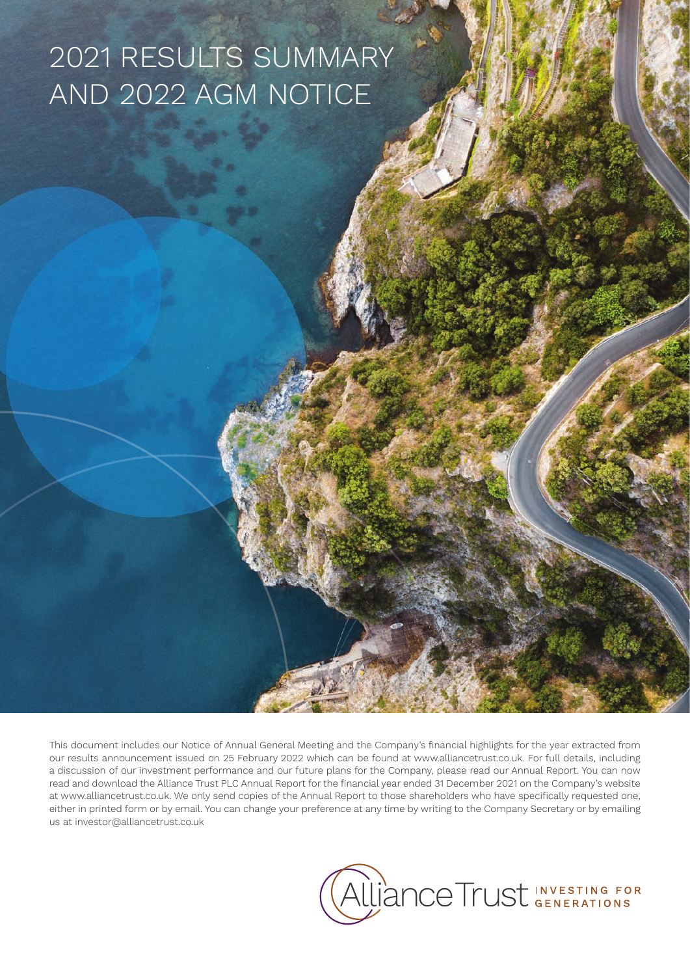# 2021 RESULTS SUMMARY AND 2022 AGM NOTICE

This document includes our Notice of Annual General Meeting and the Company's financial highlights for the year extracted from our results announcement issued on 25 February 2022 which can be found at www.alliancetrust.co.uk. For full details, including a discussion of our investment performance and our future plans for the Company, please read our Annual Report. You can now read and download the Alliance Trust PLC Annual Report for the financial year ended 31 December 2021 on the Company's website at www.alliancetrust.co.uk. We only send copies of the Annual Report to those shareholders who have specifically requested one, either in printed form or by email. You can change your preference at any time by writing to the Company Secretary or by emailing us at investor@alliancetrust.co.uk

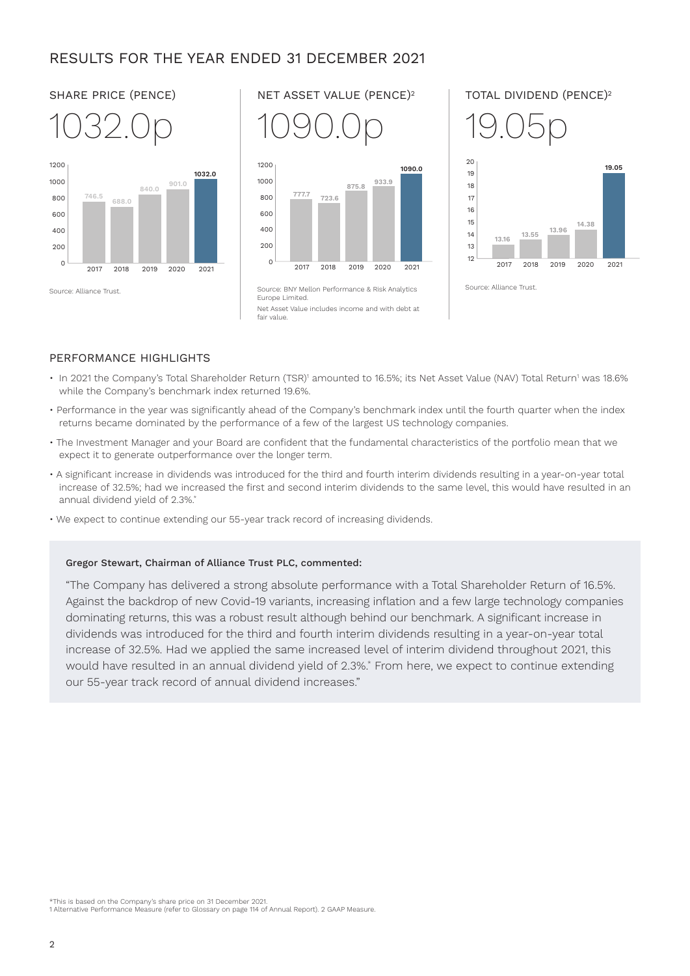# RESULTS FOR THE YEAR ENDED 31 DECEMBER 2021





Europe Limited. Net Asset Value includes income and with debt at fair value.



# PERFORMANCE HIGHLIGHTS

- $\cdot$  In 2021 the Company's Total Shareholder Return (TSR)' amounted to 16.5%; its Net Asset Value (NAV) Total Return' was 18.6% while the Company's benchmark index returned 19.6%.
- Performance in the year was significantly ahead of the Company's benchmark index until the fourth quarter when the index returns became dominated by the performance of a few of the largest US technology companies.
- The Investment Manager and your Board are confident that the fundamental characteristics of the portfolio mean that we expect it to generate outperformance over the longer term.
- A significant increase in dividends was introduced for the third and fourth interim dividends resulting in a year-on-year total increase of 32.5%; had we increased the first and second interim dividends to the same level, this would have resulted in an annual dividend yield of 2.3%.\*
- We expect to continue extending our 55-year track record of increasing dividends.

# Gregor Stewart, Chairman of Alliance Trust PLC, commented:

"The Company has delivered a strong absolute performance with a Total Shareholder Return of 16.5%. Against the backdrop of new Covid-19 variants, increasing inflation and a few large technology companies dominating returns, this was a robust result although behind our benchmark. A significant increase in dividends was introduced for the third and fourth interim dividends resulting in a year-on-year total increase of 32.5%. Had we applied the same increased level of interim dividend throughout 2021, this would have resulted in an annual dividend yield of 2.3%.\* From here, we expect to continue extending our 55-year track record of annual dividend increases."

\*This is based on the Company's share price on 31 December 2021.

<sup>1</sup> Alternative Performance Measure (refer to Glossary on page 114 of Annual Report). 2 GAAP Measure.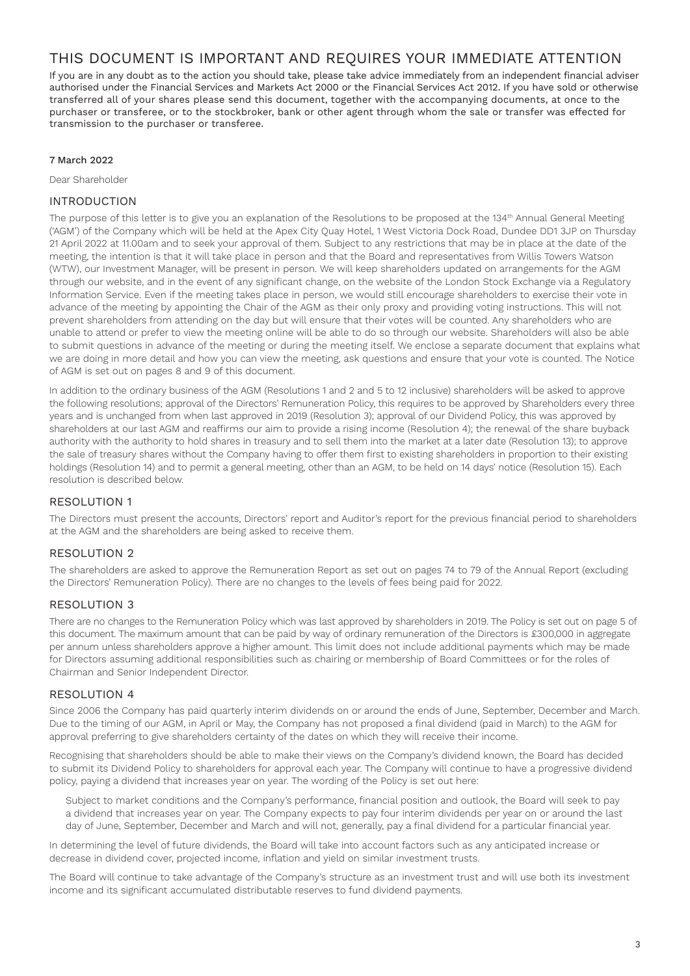# THIS DOCUMENT IS IMPORTANT AND REQUIRES YOUR IMMEDIATE ATTENTION

If you are in any doubt as to the action you should take, please take advice immediately from an independent financial adviser authorised under the Financial Services and Markets Act 2000 or the Financial Services Act 2012. If you have sold or otherwise transferred all of your shares please send this document, together with the accompanying documents, at once to the purchaser or transferee, or to the stockbroker, bank or other agent through whom the sale or transfer was effected for transmission to the purchaser or transferee.

# 7 March 2022

Dear Shareholder

# INTRODUCTION

The purpose of this letter is to give you an explanation of the Resolutions to be proposed at the 134<sup>th</sup> Annual General Meeting ('AGM') of the Company which will be held at the Apex City Quay Hotel, 1 West Victoria Dock Road, Dundee DD1 3JP on Thursday 21 April 2022 at 11.00am and to seek your approval of them. Subject to any restrictions that may be in place at the date of the meeting, the intention is that it will take place in person and that the Board and representatives from Willis Towers Watson (WTW), our Investment Manager, will be present in person. We will keep shareholders updated on arrangements for the AGM through our website, and in the event of any significant change, on the website of the London Stock Exchange via a Regulatory Information Service. Even if the meeting takes place in person, we would still encourage shareholders to exercise their vote in advance of the meeting by appointing the Chair of the AGM as their only proxy and providing voting instructions. This will not prevent shareholders from attending on the day but will ensure that their votes will be counted. Any shareholders who are unable to attend or prefer to view the meeting online will be able to do so through our website. Shareholders will also be able to submit questions in advance of the meeting or during the meeting itself. We enclose a separate document that explains what we are doing in more detail and how you can view the meeting, ask questions and ensure that your vote is counted. The Notice of AGM is set out on pages 8 and 9 of this document.

In addition to the ordinary business of the AGM (Resolutions 1 and 2 and 5 to 12 inclusive) shareholders will be asked to approve the following resolutions; approval of the Directors' Remuneration Policy, this requires to be approved by Shareholders every three years and is unchanged from when last approved in 2019 (Resolution 3); approval of our Dividend Policy, this was approved by shareholders at our last AGM and reaffirms our aim to provide a rising income (Resolution 4); the renewal of the share buyback authority with the authority to hold shares in treasury and to sell them into the market at a later date (Resolution 13); to approve the sale of treasury shares without the Company having to offer them first to existing shareholders in proportion to their existing holdings (Resolution 14) and to permit a general meeting, other than an AGM, to be held on 14 days' notice (Resolution 15). Each resolution is described below.

# RESOLUTION 1

The Directors must present the accounts, Directors' report and Auditor's report for the previous financial period to shareholders at the AGM and the shareholders are being asked to receive them.

# RESOLUTION 2

The shareholders are asked to approve the Remuneration Report as set out on pages 74 to 79 of the Annual Report (excluding the Directors' Remuneration Policy). There are no changes to the levels of fees being paid for 2022.

# RESOLUTION 3

There are no changes to the Remuneration Policy which was last approved by shareholders in 2019. The Policy is set out on page 5 of this document. The maximum amount that can be paid by way of ordinary remuneration of the Directors is £300,000 in aggregate per annum unless shareholders approve a higher amount. This limit does not include additional payments which may be made for Directors assuming additional responsibilities such as chairing or membership of Board Committees or for the roles of Chairman and Senior Independent Director.

# RESOLUTION 4

Since 2006 the Company has paid quarterly interim dividends on or around the ends of June, September, December and March. Due to the timing of our AGM, in April or May, the Company has not proposed a final dividend (paid in March) to the AGM for approval preferring to give shareholders certainty of the dates on which they will receive their income.

Recognising that shareholders should be able to make their views on the Company's dividend known, the Board has decided to submit its Dividend Policy to shareholders for approval each year. The Company will continue to have a progressive dividend policy, paying a dividend that increases year on year. The wording of the Policy is set out here:

Subject to market conditions and the Company's performance, financial position and outlook, the Board will seek to pay a dividend that increases year on year. The Company expects to pay four interim dividends per year on or around the last day of June, September, December and March and will not, generally, pay a final dividend for a particular financial year.

In determining the level of future dividends, the Board will take into account factors such as any anticipated increase or decrease in dividend cover, projected income, inflation and yield on similar investment trusts.

The Board will continue to take advantage of the Company's structure as an investment trust and will use both its investment income and its significant accumulated distributable reserves to fund dividend payments.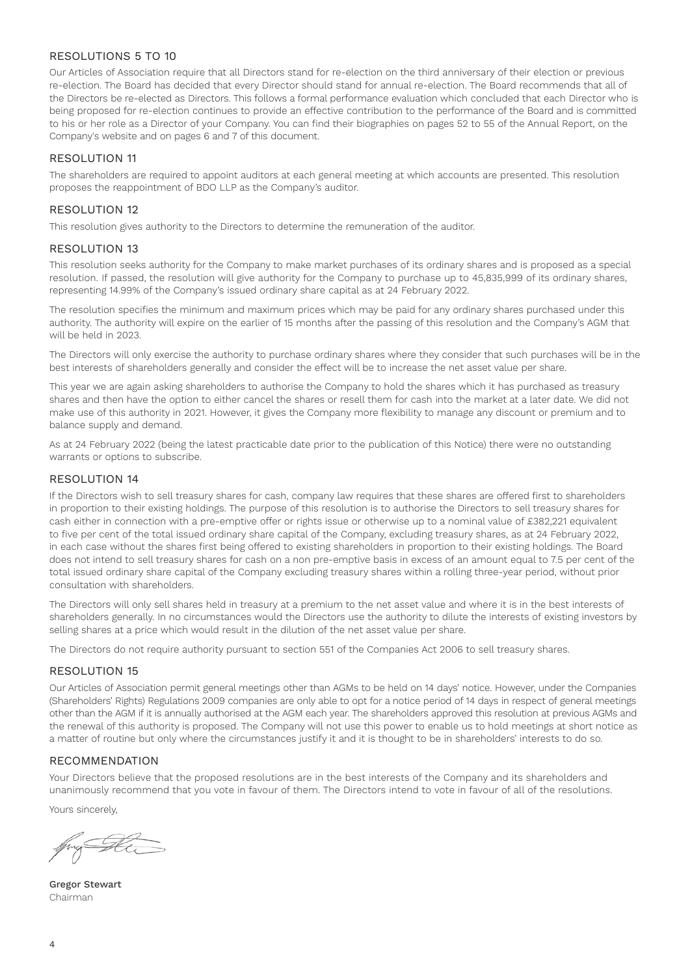# RESOLUTIONS 5 TO 10

Our Articles of Association require that all Directors stand for re-election on the third anniversary of their election or previous re-election. The Board has decided that every Director should stand for annual re-election. The Board recommends that all of the Directors be re-elected as Directors. This follows a formal performance evaluation which concluded that each Director who is being proposed for re-election continues to provide an effective contribution to the performance of the Board and is committed to his or her role as a Director of your Company. You can find their biographies on pages 52 to 55 of the Annual Report, on the Company's website and on pages 6 and 7 of this document.

# RESOLUTION 11

The shareholders are required to appoint auditors at each general meeting at which accounts are presented. This resolution proposes the reappointment of BDO LLP as the Company's auditor.

# RESOLUTION 12

This resolution gives authority to the Directors to determine the remuneration of the auditor.

# RESOLUTION 13

This resolution seeks authority for the Company to make market purchases of its ordinary shares and is proposed as a special resolution. If passed, the resolution will give authority for the Company to purchase up to 45,835,999 of its ordinary shares, representing 14.99% of the Company's issued ordinary share capital as at 24 February 2022.

The resolution specifies the minimum and maximum prices which may be paid for any ordinary shares purchased under this authority. The authority will expire on the earlier of 15 months after the passing of this resolution and the Company's AGM that will be held in 2023.

The Directors will only exercise the authority to purchase ordinary shares where they consider that such purchases will be in the best interests of shareholders generally and consider the effect will be to increase the net asset value per share.

This year we are again asking shareholders to authorise the Company to hold the shares which it has purchased as treasury shares and then have the option to either cancel the shares or resell them for cash into the market at a later date. We did not make use of this authority in 2021. However, it gives the Company more flexibility to manage any discount or premium and to balance supply and demand.

As at 24 February 2022 (being the latest practicable date prior to the publication of this Notice) there were no outstanding warrants or options to subscribe.

# RESOLUTION 14

If the Directors wish to sell treasury shares for cash, company law requires that these shares are offered first to shareholders in proportion to their existing holdings. The purpose of this resolution is to authorise the Directors to sell treasury shares for cash either in connection with a pre-emptive offer or rights issue or otherwise up to a nominal value of £382,221 equivalent to five per cent of the total issued ordinary share capital of the Company, excluding treasury shares, as at 24 February 2022, in each case without the shares first being offered to existing shareholders in proportion to their existing holdings. The Board does not intend to sell treasury shares for cash on a non pre-emptive basis in excess of an amount equal to 7.5 per cent of the total issued ordinary share capital of the Company excluding treasury shares within a rolling three-year period, without prior consultation with shareholders.

The Directors will only sell shares held in treasury at a premium to the net asset value and where it is in the best interests of shareholders generally. In no circumstances would the Directors use the authority to dilute the interests of existing investors by selling shares at a price which would result in the dilution of the net asset value per share.

The Directors do not require authority pursuant to section 551 of the Companies Act 2006 to sell treasury shares.

# RESOLUTION 15

Our Articles of Association permit general meetings other than AGMs to be held on 14 days' notice. However, under the Companies (Shareholders' Rights) Regulations 2009 companies are only able to opt for a notice period of 14 days in respect of general meetings other than the AGM if it is annually authorised at the AGM each year. The shareholders approved this resolution at previous AGMs and the renewal of this authority is proposed. The Company will not use this power to enable us to hold meetings at short notice as a matter of routine but only where the circumstances justify it and it is thought to be in shareholders' interests to do so.

# RECOMMENDATION

Your Directors believe that the proposed resolutions are in the best interests of the Company and its shareholders and unanimously recommend that you vote in favour of them. The Directors intend to vote in favour of all of the resolutions.

Yours sincerely,

H.

Gregor Stewart Chairman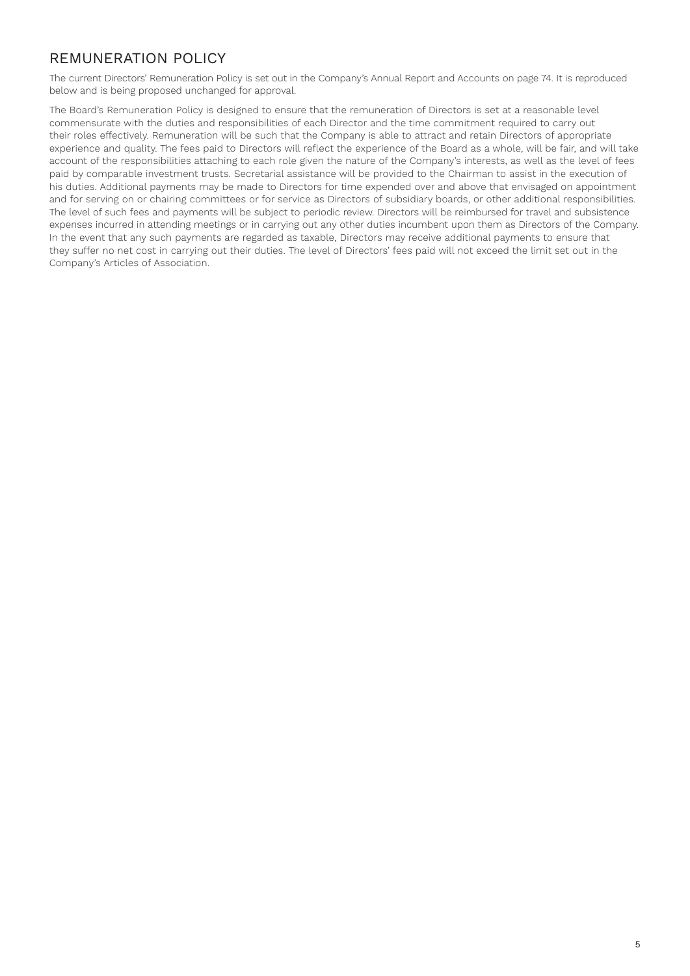# REMUNERATION POLICY

The current Directors' Remuneration Policy is set out in the Company's Annual Report and Accounts on page 74. It is reproduced below and is being proposed unchanged for approval.

The Board's Remuneration Policy is designed to ensure that the remuneration of Directors is set at a reasonable level commensurate with the duties and responsibilities of each Director and the time commitment required to carry out their roles effectively. Remuneration will be such that the Company is able to attract and retain Directors of appropriate experience and quality. The fees paid to Directors will reflect the experience of the Board as a whole, will be fair, and will take account of the responsibilities attaching to each role given the nature of the Company's interests, as well as the level of fees paid by comparable investment trusts. Secretarial assistance will be provided to the Chairman to assist in the execution of his duties. Additional payments may be made to Directors for time expended over and above that envisaged on appointment and for serving on or chairing committees or for service as Directors of subsidiary boards, or other additional responsibilities. The level of such fees and payments will be subject to periodic review. Directors will be reimbursed for travel and subsistence expenses incurred in attending meetings or in carrying out any other duties incumbent upon them as Directors of the Company. In the event that any such payments are regarded as taxable, Directors may receive additional payments to ensure that they suffer no net cost in carrying out their duties. The level of Directors' fees paid will not exceed the limit set out in the Company's Articles of Association.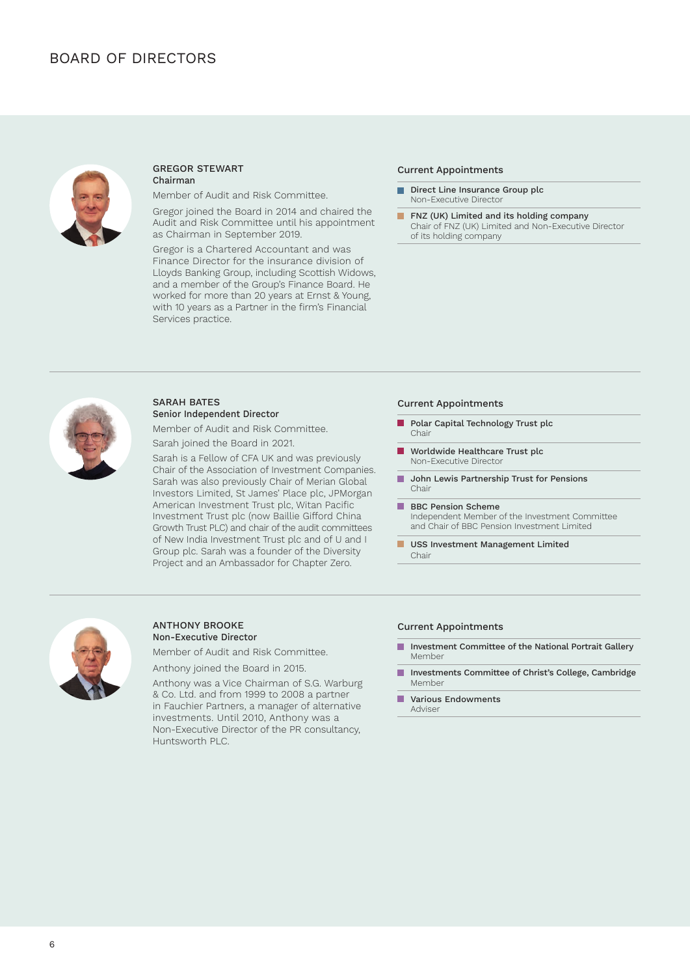

### GREGOR STEWART Chairman

Member of Audit and Risk Committee.

Gregor joined the Board in 2014 and chaired the Audit and Risk Committee until his appointment as Chairman in September 2019.

Gregor is a Chartered Accountant and was Finance Director for the insurance division of Lloyds Banking Group, including Scottish Widows, and a member of the Group's Finance Board. He worked for more than 20 years at Ernst & Young, with 10 years as a Partner in the firm's Financial Services practice.

# Current Appointments

- п Direct Line Insurance Group plc Non-Executive Director
- $\mathcal{L}^{\mathcal{L}}$ FNZ (UK) Limited and its holding company Chair of FNZ (UK) Limited and Non-Executive Director of its holding company



# SARAH BATES Senior Independent Director

Member of Audit and Risk Committee. Sarah joined the Board in 2021.

Sarah is a Fellow of CFA UK and was previously Chair of the Association of Investment Companies. Sarah was also previously Chair of Merian Global Investors Limited, St James' Place plc, JPMorgan American Investment Trust plc, Witan Pacific Investment Trust plc (now Baillie Gifford China Growth Trust PLC) and chair of the audit committees of New India Investment Trust plc and of U and I Group plc. Sarah was a founder of the Diversity Project and an Ambassador for Chapter Zero.

# Current Appointments

- Polar Capital Technology Trust plc п Chair
- $\blacksquare$ Worldwide Healthcare Trust plc Non-Executive Director
- **John Lewis Partnership Trust for Pensions** Chair
- BBC Pension Scheme  $\blacksquare$ Independent Member of the Investment Committee and Chair of BBC Pension Investment Limited
- USS Investment Management Limited Chair



### ANTHONY BROOKE Non-Executive Director

Member of Audit and Risk Committee.

Anthony joined the Board in 2015.

Anthony was a Vice Chairman of S.G. Warburg & Co. Ltd. and from 1999 to 2008 a partner in Fauchier Partners, a manager of alternative investments. Until 2010, Anthony was a Non-Executive Director of the PR consultancy, Huntsworth PLC.

### Current Appointments

- $\mathbf{r}$ Investment Committee of the National Portrait Gallery Member
- **COL** Investments Committee of Christ's College, Cambridge Member
- $\mathbf{r}$ Various Endowments Adviser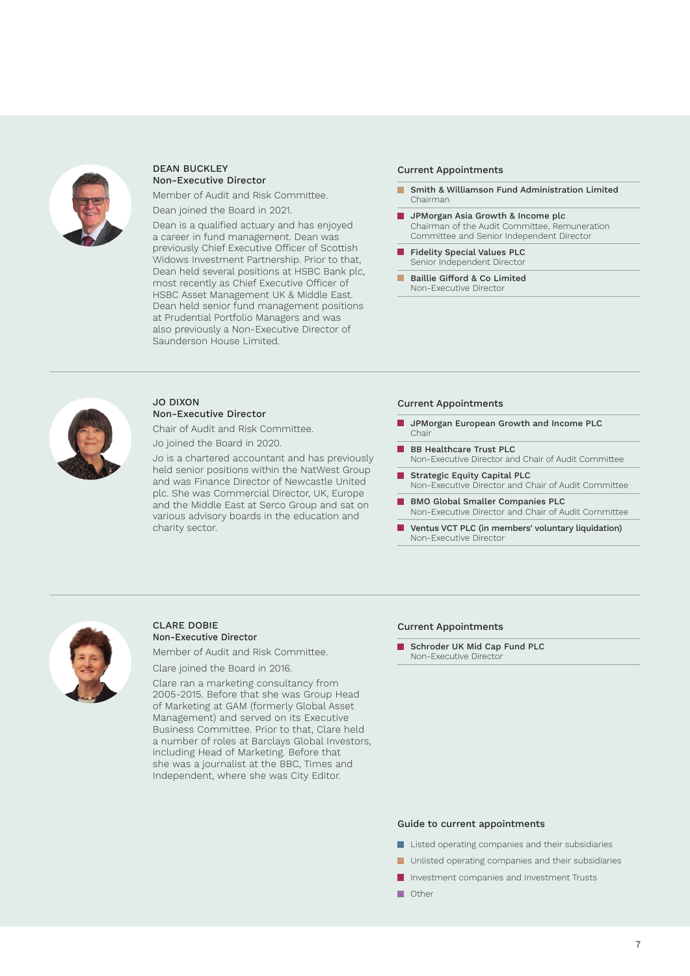

### DEAN BUCKLEY Non-Executive Director

Member of Audit and Risk Committee.

Dean joined the Board in 2021.

Dean is a qualified actuary and has enjoyed a career in fund management. Dean was previously Chief Executive Officer of Scottish Widows Investment Partnership. Prior to that, Dean held several positions at HSBC Bank plc, most recently as Chief Executive Officer of HSBC Asset Management UK & Middle East. Dean held senior fund management positions at Prudential Portfolio Managers and was also previously a Non-Executive Director of Saunderson House Limited.

# Current Appointments

- $\mathbf{r}$ Smith & Williamson Fund Administration Limited Chairman
- **JPMorgan Asia Growth & Income plc** Chairman of the Audit Committee, Remuneration Committee and Senior Independent Director
- Fidelity Special Values PLC Senior Independent Director
- Baillie Gifford & Co Limited  $\blacksquare$ Non-Executive Director



# JO DIXON Non-Executive Director

Chair of Audit and Risk Committee. Jo joined the Board in 2020.

Jo is a chartered accountant and has previously held senior positions within the NatWest Group and was Finance Director of Newcastle United plc. She was Commercial Director, UK, Europe and the Middle East at Serco Group and sat on various advisory boards in the education and charity sector.

# Current Appointments

- JPMorgan European Growth and Income PLC Chair
- BB Healthcare Trust PLC Non-Executive Director and Chair of Audit Committee
- Strategic Equity Capital PLC Non-Executive Director and Chair of Audit Committee
- BMO Global Smaller Companies PLC Non-Executive Director and Chair of Audit Committee
- Ventus VCT PLC (in members' voluntary liquidation) Non-Executive Director



# CLARE DOBIE Non-Executive Director

Member of Audit and Risk Committee.

Clare joined the Board in 2016.

Clare ran a marketing consultancy from 2005-2015. Before that she was Group Head of Marketing at GAM (formerly Global Asset Management) and served on its Executive Business Committee. Prior to that, Clare held a number of roles at Barclays Global Investors, including Head of Marketing. Before that she was a journalist at the BBC, Times and Independent, where she was City Editor.

# Current Appointments

Schroder UK Mid Cap Fund PLC Non-Executive Director

### Guide to current appointments

- **Listed operating companies and their subsidiaries**
- **Unlisted operating companies and their subsidiaries**
- **Investment companies and Investment Trusts**
- **n** Other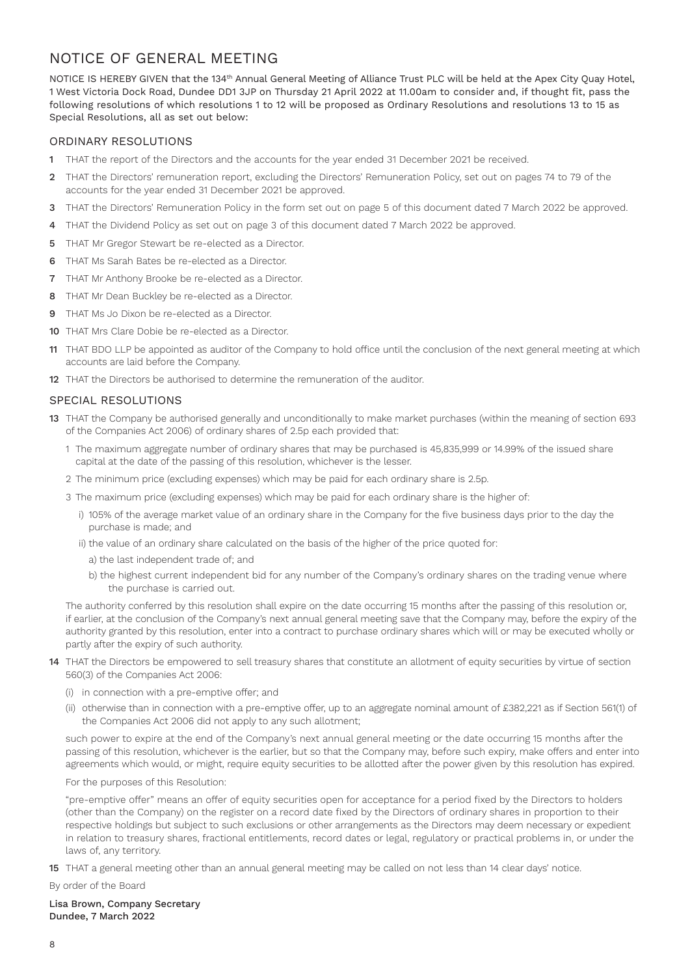# NOTICE OF GENERAL MEETING

NOTICE IS HEREBY GIVEN that the 134th Annual General Meeting of Alliance Trust PLC will be held at the Apex City Quay Hotel, 1 West Victoria Dock Road, Dundee DD1 3JP on Thursday 21 April 2022 at 11.00am to consider and, if thought fit, pass the following resolutions of which resolutions 1 to 12 will be proposed as Ordinary Resolutions and resolutions 13 to 15 as Special Resolutions, all as set out below:

# ORDINARY RESOLUTIONS

- 1 THAT the report of the Directors and the accounts for the year ended 31 December 2021 be received.
- 2 THAT the Directors' remuneration report, excluding the Directors' Remuneration Policy, set out on pages 74 to 79 of the accounts for the year ended 31 December 2021 be approved.
- 3 THAT the Directors' Remuneration Policy in the form set out on page 5 of this document dated 7 March 2022 be approved.
- 4 THAT the Dividend Policy as set out on page 3 of this document dated 7 March 2022 be approved.
- 5 THAT Mr Gregor Stewart be re-elected as a Director.
- 6 THAT Ms Sarah Bates be re-elected as a Director.
- 7 THAT Mr Anthony Brooke be re-elected as a Director.
- 8 THAT Mr Dean Buckley be re-elected as a Director.
- 9 THAT Ms Jo Dixon be re-elected as a Director
- 10 THAT Mrs Clare Dobie be re-elected as a Director.
- 11 THAT BDO LLP be appointed as auditor of the Company to hold office until the conclusion of the next general meeting at which accounts are laid before the Company.
- 12 THAT the Directors be authorised to determine the remuneration of the auditor.

# SPECIAL RESOLUTIONS

- 13 THAT the Company be authorised generally and unconditionally to make market purchases (within the meaning of section 693 of the Companies Act 2006) of ordinary shares of 2.5p each provided that:
	- 1 The maximum aggregate number of ordinary shares that may be purchased is 45,835,999 or 14.99% of the issued share capital at the date of the passing of this resolution, whichever is the lesser.
	- 2 The minimum price (excluding expenses) which may be paid for each ordinary share is 2.5p.
	- 3 The maximum price (excluding expenses) which may be paid for each ordinary share is the higher of:
		- i) 105% of the average market value of an ordinary share in the Company for the five business days prior to the day the purchase is made; and
		- ii) the value of an ordinary share calculated on the basis of the higher of the price quoted for:
			- a) the last independent trade of; and
			- b) the highest current independent bid for any number of the Company's ordinary shares on the trading venue where the purchase is carried out.

The authority conferred by this resolution shall expire on the date occurring 15 months after the passing of this resolution or, if earlier, at the conclusion of the Company's next annual general meeting save that the Company may, before the expiry of the authority granted by this resolution, enter into a contract to purchase ordinary shares which will or may be executed wholly or partly after the expiry of such authority.

- 14 THAT the Directors be empowered to sell treasury shares that constitute an allotment of equity securities by virtue of section 560(3) of the Companies Act 2006:
	- (i) in connection with a pre-emptive offer; and
	- (ii) otherwise than in connection with a pre-emptive offer, up to an aggregate nominal amount of £382,221 as if Section 561(1) of the Companies Act 2006 did not apply to any such allotment;

such power to expire at the end of the Company's next annual general meeting or the date occurring 15 months after the passing of this resolution, whichever is the earlier, but so that the Company may, before such expiry, make offers and enter into agreements which would, or might, require equity securities to be allotted after the power given by this resolution has expired.

For the purposes of this Resolution:

"pre-emptive offer" means an offer of equity securities open for acceptance for a period fixed by the Directors to holders (other than the Company) on the register on a record date fixed by the Directors of ordinary shares in proportion to their respective holdings but subject to such exclusions or other arrangements as the Directors may deem necessary or expedient in relation to treasury shares, fractional entitlements, record dates or legal, regulatory or practical problems in, or under the laws of, any territory.

15 THAT a general meeting other than an annual general meeting may be called on not less than 14 clear days' notice.

By order of the Board

Lisa Brown, Company Secretary Dundee, 7 March 2022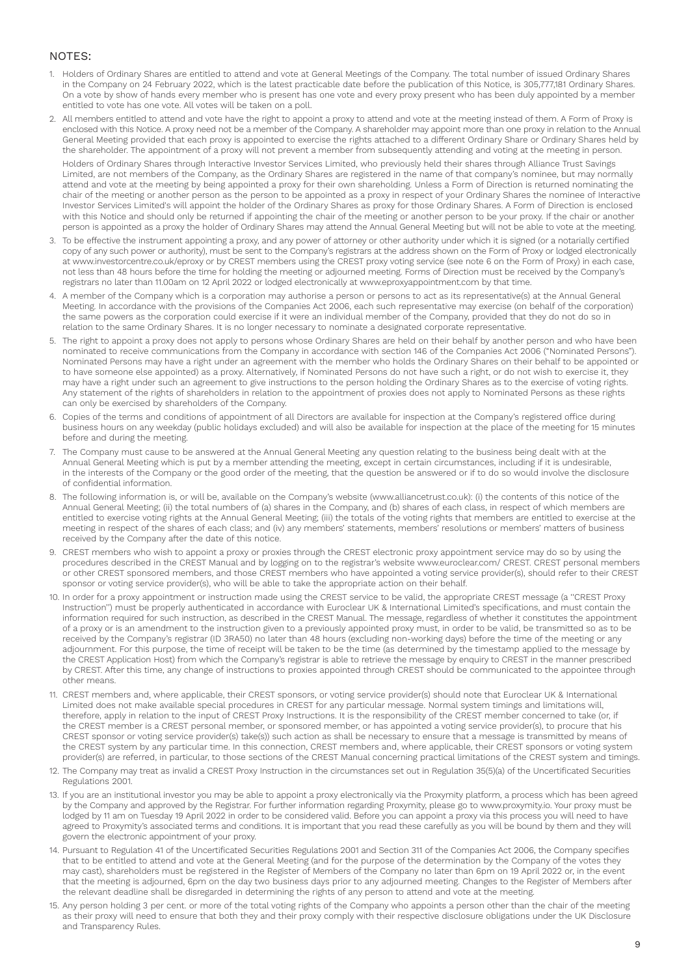# NOTES:

- 1. Holders of Ordinary Shares are entitled to attend and vote at General Meetings of the Company. The total number of issued Ordinary Shares in the Company on 24 February 2022, which is the latest practicable date before the publication of this Notice, is 305,777,181 Ordinary Shares. On a vote by show of hands every member who is present has one vote and every proxy present who has been duly appointed by a member entitled to vote has one vote. All votes will be taken on a poll.
- 2. All members entitled to attend and vote have the right to appoint a proxy to attend and vote at the meeting instead of them. A Form of Proxy is enclosed with this Notice. A proxy need not be a member of the Company. A shareholder may appoint more than one proxy in relation to the Annual General Meeting provided that each proxy is appointed to exercise the rights attached to a different Ordinary Share or Ordinary Shares held by the shareholder. The appointment of a proxy will not prevent a member from subsequently attending and voting at the meeting in person. Holders of Ordinary Shares through Interactive Investor Services Limited, who previously held their shares through Alliance Trust Savings Limited, are not members of the Company, as the Ordinary Shares are registered in the name of that company's nominee, but may normally attend and vote at the meeting by being appointed a proxy for their own shareholding. Unless a Form of Direction is returned nominating the chair of the meeting or another person as the person to be appointed as a proxy in respect of your Ordinary Shares the nominee of Interactive Investor Services Limited's will appoint the holder of the Ordinary Shares as proxy for those Ordinary Shares. A Form of Direction is enclosed with this Notice and should only be returned if appointing the chair of the meeting or another person to be your proxy. If the chair or another person is appointed as a proxy the holder of Ordinary Shares may attend the Annual General Meeting but will not be able to vote at the meeting.
- 3. To be effective the instrument appointing a proxy, and any power of attorney or other authority under which it is signed (or a notarially certified copy of any such power or authority), must be sent to the Company's registrars at the address shown on the Form of Proxy or lodged electronically at www.investorcentre.co.uk/eproxy or by CREST members using the CREST proxy voting service (see note 6 on the Form of Proxy) in each case, not less than 48 hours before the time for holding the meeting or adjourned meeting. Forms of Direction must be received by the Company's registrars no later than 11.00am on 12 April 2022 or lodged electronically at www.eproxyappointment.com by that time.
- 4. A member of the Company which is a corporation may authorise a person or persons to act as its representative(s) at the Annual General Meeting. In accordance with the provisions of the Companies Act 2006, each such representative may exercise (on behalf of the corporation) the same powers as the corporation could exercise if it were an individual member of the Company, provided that they do not do so in relation to the same Ordinary Shares. It is no longer necessary to nominate a designated corporate representative.
- 5. The right to appoint a proxy does not apply to persons whose Ordinary Shares are held on their behalf by another person and who have been nominated to receive communications from the Company in accordance with section 146 of the Companies Act 2006 ("Nominated Persons"). Nominated Persons may have a right under an agreement with the member who holds the Ordinary Shares on their behalf to be appointed or to have someone else appointed) as a proxy. Alternatively, if Nominated Persons do not have such a right, or do not wish to exercise it, they may have a right under such an agreement to give instructions to the person holding the Ordinary Shares as to the exercise of voting rights. Any statement of the rights of shareholders in relation to the appointment of proxies does not apply to Nominated Persons as these rights can only be exercised by shareholders of the Company.
- 6. Copies of the terms and conditions of appointment of all Directors are available for inspection at the Company's registered office during business hours on any weekday (public holidays excluded) and will also be available for inspection at the place of the meeting for 15 minutes before and during the meeting.
- 7. The Company must cause to be answered at the Annual General Meeting any question relating to the business being dealt with at the Annual General Meeting which is put by a member attending the meeting, except in certain circumstances, including if it is undesirable, in the interests of the Company or the good order of the meeting, that the question be answered or if to do so would involve the disclosure of confidential information.
- 8. The following information is, or will be, available on the Company's website (www.alliancetrust.co.uk): (i) the contents of this notice of the Annual General Meeting; (ii) the total numbers of (a) shares in the Company, and (b) shares of each class, in respect of which members are entitled to exercise voting rights at the Annual General Meeting; (iii) the totals of the voting rights that members are entitled to exercise at the meeting in respect of the shares of each class; and (iv) any members' statements, members' resolutions or members' matters of business received by the Company after the date of this notice.
- 9. CREST members who wish to appoint a proxy or proxies through the CREST electronic proxy appointment service may do so by using the procedures described in the CREST Manual and by logging on to the registrar's website www.euroclear.com/ CREST. CREST personal members or other CREST sponsored members, and those CREST members who have appointed a voting service provider(s), should refer to their CREST sponsor or voting service provider(s), who will be able to take the appropriate action on their behalf.
- 10. In order for a proxy appointment or instruction made using the CREST service to be valid, the appropriate CREST message (a ''CREST Proxy Instruction'') must be properly authenticated in accordance with Euroclear UK & International Limited's specifications, and must contain the information required for such instruction, as described in the CREST Manual. The message, regardless of whether it constitutes the appointment of a proxy or is an amendment to the instruction given to a previously appointed proxy must, in order to be valid, be transmitted so as to be received by the Company's registrar (ID 3RA50) no later than 48 hours (excluding non-working days) before the time of the meeting or any adjournment. For this purpose, the time of receipt will be taken to be the time (as determined by the timestamp applied to the message by the CREST Application Host) from which the Company's registrar is able to retrieve the message by enquiry to CREST in the manner prescribed by CREST. After this time, any change of instructions to proxies appointed through CREST should be communicated to the appointee through other means.
- 11. CREST members and, where applicable, their CREST sponsors, or voting service provider(s) should note that Euroclear UK & International Limited does not make available special procedures in CREST for any particular message. Normal system timings and limitations will, therefore, apply in relation to the input of CREST Proxy Instructions. It is the responsibility of the CREST member concerned to take (or, if the CREST member is a CREST personal member, or sponsored member, or has appointed a voting service provider(s), to procure that his CREST sponsor or voting service provider(s) take(s)) such action as shall be necessary to ensure that a message is transmitted by means of the CREST system by any particular time. In this connection, CREST members and, where applicable, their CREST sponsors or voting system provider(s) are referred, in particular, to those sections of the CREST Manual concerning practical limitations of the CREST system and timings.
- 12. The Company may treat as invalid a CREST Proxy Instruction in the circumstances set out in Regulation 35(5)(a) of the Uncertificated Securities Regulations 2001.
- 13. If you are an institutional investor you may be able to appoint a proxy electronically via the Proxymity platform, a process which has been agreed by the Company and approved by the Registrar. For further information regarding Proxymity, please go to www.proxymity.io. Your proxy must be lodged by 11 am on Tuesday 19 April 2022 in order to be considered valid. Before you can appoint a proxy via this process you will need to have agreed to Proxymity's associated terms and conditions. It is important that you read these carefully as you will be bound by them and they will govern the electronic appointment of your proxy.
- 14. Pursuant to Regulation 41 of the Uncertificated Securities Regulations 2001 and Section 311 of the Companies Act 2006, the Company specifies that to be entitled to attend and vote at the General Meeting (and for the purpose of the determination by the Company of the votes they may cast), shareholders must be registered in the Register of Members of the Company no later than 6pm on 19 April 2022 or, in the event that the meeting is adjourned, 6pm on the day two business days prior to any adjourned meeting. Changes to the Register of Members after the relevant deadline shall be disregarded in determining the rights of any person to attend and vote at the meeting.
- 15. Any person holding 3 per cent. or more of the total voting rights of the Company who appoints a person other than the chair of the meeting as their proxy will need to ensure that both they and their proxy comply with their respective disclosure obligations under the UK Disclosure and Transparency Rules.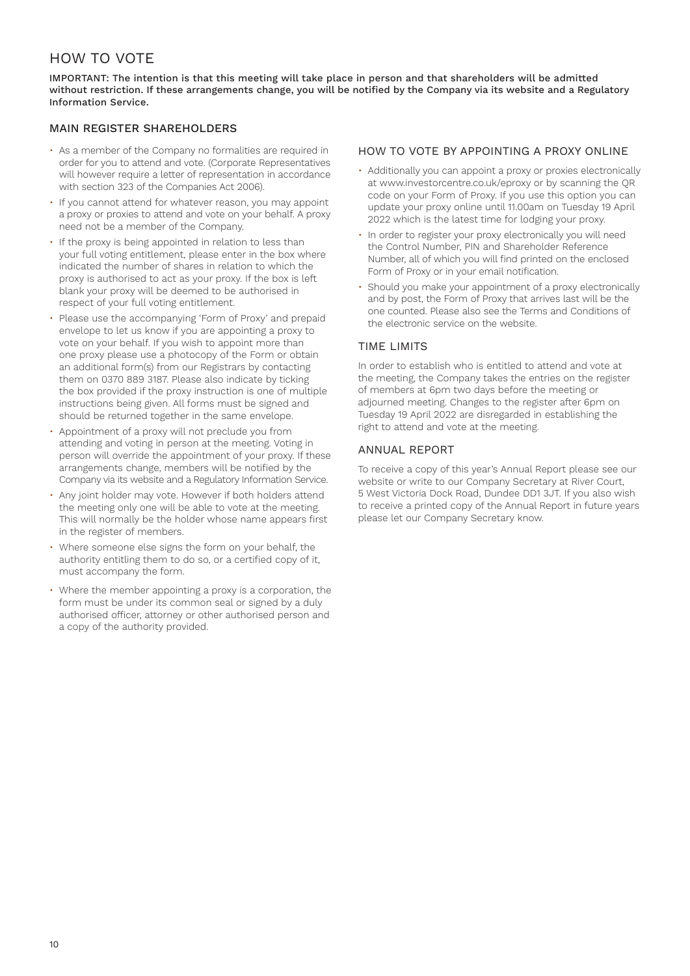# HOW TO VOTE

IMPORTANT: The intention is that this meeting will take place in person and that shareholders will be admitted without restriction. If these arrangements change, you will be notified by the Company via its website and a Regulatory Information Service.

# MAIN REGISTER SHAREHOLDERS

- As a member of the Company no formalities are required in order for you to attend and vote. (Corporate Representatives will however require a letter of representation in accordance with section 323 of the Companies Act 2006).
- If you cannot attend for whatever reason, you may appoint a proxy or proxies to attend and vote on your behalf. A proxy need not be a member of the Company.
- If the proxy is being appointed in relation to less than your full voting entitlement, please enter in the box where indicated the number of shares in relation to which the proxy is authorised to act as your proxy. If the box is left blank your proxy will be deemed to be authorised in respect of your full voting entitlement.
- Please use the accompanying 'Form of Proxy' and prepaid envelope to let us know if you are appointing a proxy to vote on your behalf. If you wish to appoint more than one proxy please use a photocopy of the Form or obtain an additional form(s) from our Registrars by contacting them on 0370 889 3187. Please also indicate by ticking the box provided if the proxy instruction is one of multiple instructions being given. All forms must be signed and should be returned together in the same envelope.
- Appointment of a proxy will not preclude you from attending and voting in person at the meeting. Voting in person will override the appointment of your proxy. If these arrangements change, members will be notified by the Company via its website and a Regulatory Information Service.
- Any joint holder may vote. However if both holders attend the meeting only one will be able to vote at the meeting. This will normally be the holder whose name appears first in the register of members.
- Where someone else signs the form on your behalf, the authority entitling them to do so, or a certified copy of it, must accompany the form.
- Where the member appointing a proxy is a corporation, the form must be under its common seal or signed by a duly authorised officer, attorney or other authorised person and a copy of the authority provided.

# HOW TO VOTE BY APPOINTING A PROXY ONLINE

- Additionally you can appoint a proxy or proxies electronically at www.investorcentre.co.uk/eproxy or by scanning the QR code on your Form of Proxy. If you use this option you can update your proxy online until 11.00am on Tuesday 19 April 2022 which is the latest time for lodging your proxy.
- In order to register your proxy electronically you will need the Control Number, PIN and Shareholder Reference Number, all of which you will find printed on the enclosed Form of Proxy or in your email notification.
- Should you make your appointment of a proxy electronically and by post, the Form of Proxy that arrives last will be the one counted. Please also see the Terms and Conditions of the electronic service on the website.

# TIME LIMITS

In order to establish who is entitled to attend and vote at the meeting, the Company takes the entries on the register of members at 6pm two days before the meeting or adjourned meeting. Changes to the register after 6pm on Tuesday 19 April 2022 are disregarded in establishing the right to attend and vote at the meeting.

# ANNUAL REPORT

To receive a copy of this year's Annual Report please see our website or write to our Company Secretary at River Court, 5 West Victoria Dock Road, Dundee DD1 3JT. If you also wish to receive a printed copy of the Annual Report in future years please let our Company Secretary know.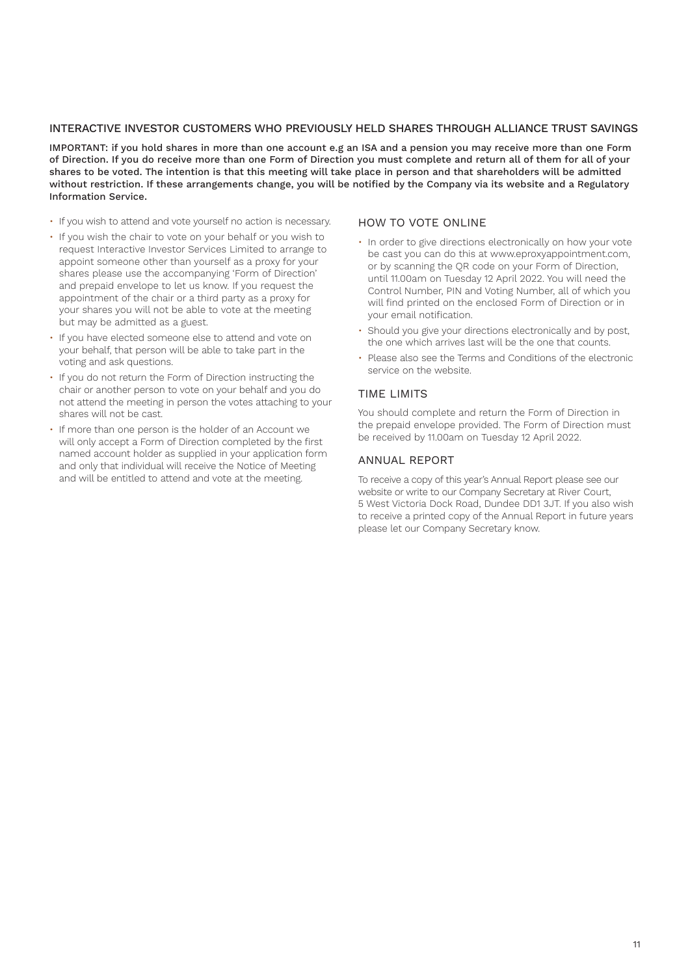# INTERACTIVE INVESTOR CUSTOMERS WHO PREVIOUSLY HELD SHARES THROUGH ALLIANCE TRUST SAVINGS

IMPORTANT: if you hold shares in more than one account e.g an ISA and a pension you may receive more than one Form of Direction. If you do receive more than one Form of Direction you must complete and return all of them for all of your shares to be voted. The intention is that this meeting will take place in person and that shareholders will be admitted without restriction. If these arrangements change, you will be notified by the Company via its website and a Regulatory Information Service.

- If you wish to attend and vote yourself no action is necessary.
- If you wish the chair to vote on your behalf or you wish to request Interactive Investor Services Limited to arrange to appoint someone other than yourself as a proxy for your shares please use the accompanying 'Form of Direction' and prepaid envelope to let us know. If you request the appointment of the chair or a third party as a proxy for your shares you will not be able to vote at the meeting but may be admitted as a guest.
- If you have elected someone else to attend and vote on your behalf, that person will be able to take part in the voting and ask questions.
- If you do not return the Form of Direction instructing the chair or another person to vote on your behalf and you do not attend the meeting in person the votes attaching to your shares will not be cast.
- If more than one person is the holder of an Account we will only accept a Form of Direction completed by the first named account holder as supplied in your application form and only that individual will receive the Notice of Meeting and will be entitled to attend and vote at the meeting.

# HOW TO VOTE ONLINE

- In order to give directions electronically on how your vote be cast you can do this at www.eproxyappointment.com, or by scanning the QR code on your Form of Direction, until 11.00am on Tuesday 12 April 2022. You will need the Control Number, PIN and Voting Number, all of which you will find printed on the enclosed Form of Direction or in your email notification.
- Should you give your directions electronically and by post, the one which arrives last will be the one that counts.
- Please also see the Terms and Conditions of the electronic service on the website.

# TIME LIMITS

You should complete and return the Form of Direction in the prepaid envelope provided. The Form of Direction must be received by 11.00am on Tuesday 12 April 2022.

# ANNUAL REPORT

To receive a copy of this year's Annual Report please see our website or write to our Company Secretary at River Court, 5 West Victoria Dock Road, Dundee DD1 3JT. If you also wish to receive a printed copy of the Annual Report in future years please let our Company Secretary know.